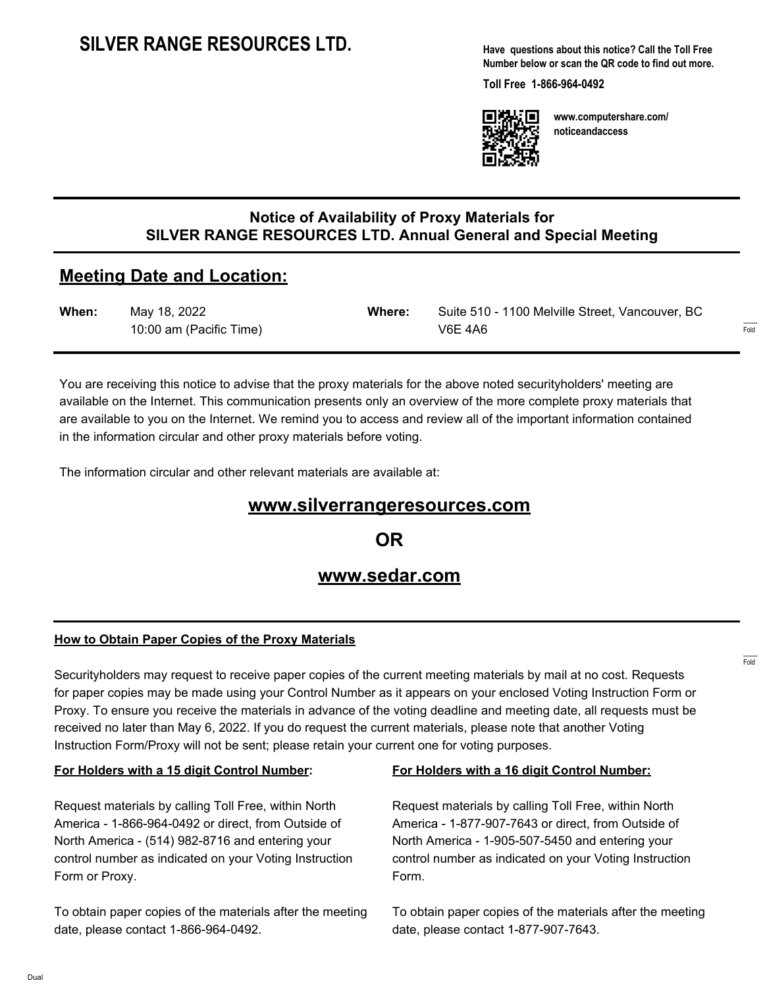**Have questions about this notice? Call the Toll Free Number below or scan the QR code to find out more.**

**Toll Free 1-866-964-0492**



**www.computershare.com/ noticeandaccess**

## **Notice of Availability of Proxy Materials for SILVER RANGE RESOURCES LTD. Annual General and Special Meeting**

# **Meeting Date and Location:**

| When: | May 18, 2022            | Where: | Suite 510 - 1100 Melville Street, Vancouver, BC |                                 |
|-------|-------------------------|--------|-------------------------------------------------|---------------------------------|
|       | 10:00 am (Pacific Time) |        | V6E 4A6                                         | $1 - 1 - 1 - 1 - 1 = 0$<br>Fold |

You are receiving this notice to advise that the proxy materials for the above noted securityholders' meeting are available on the Internet. This communication presents only an overview of the more complete proxy materials that are available to you on the Internet. We remind you to access and review all of the important information contained in the information circular and other proxy materials before voting.

The information circular and other relevant materials are available at:

## **www.silverrangeresources.com**

**OR**

## **www.sedar.com**

#### **How to Obtain Paper Copies of the Proxy Materials**

Securityholders may request to receive paper copies of the current meeting materials by mail at no cost. Requests for paper copies may be made using your Control Number as it appears on your enclosed Voting Instruction Form or Proxy. To ensure you receive the materials in advance of the voting deadline and meeting date, all requests must be received no later than May 6, 2022. If you do request the current materials, please note that another Voting Instruction Form/Proxy will not be sent; please retain your current one for voting purposes.

#### **For Holders with a 15 digit Control Number:**

Request materials by calling Toll Free, within North America - 1-866-964-0492 or direct, from Outside of North America - (514) 982-8716 and entering your control number as indicated on your Voting Instruction Form or Proxy.

To obtain paper copies of the materials after the meeting date, please contact 1-866-964-0492.

#### **For Holders with a 16 digit Control Number:**

Request materials by calling Toll Free, within North America - 1-877-907-7643 or direct, from Outside of North America - 1-905-507-5450 and entering your control number as indicated on your Voting Instruction Form.

To obtain paper copies of the materials after the meeting date, please contact 1-877-907-7643.